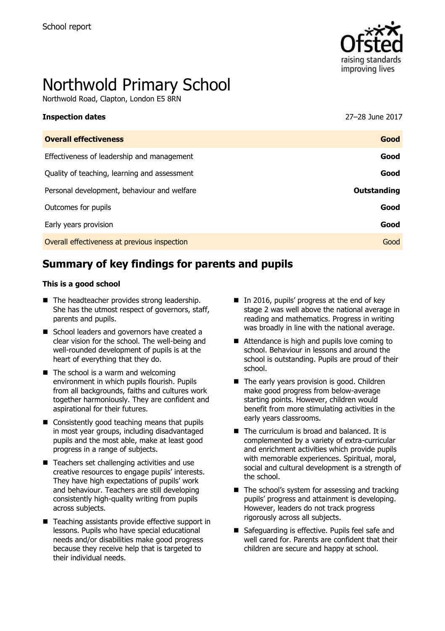

# Northwold Primary School

Northwold Road, Clapton, London E5 8RN

| ------------------                           |                    |
|----------------------------------------------|--------------------|
| <b>Overall effectiveness</b>                 | Good               |
| Effectiveness of leadership and management   | Good               |
| Quality of teaching, learning and assessment | Good               |
| Personal development, behaviour and welfare  | <b>Outstanding</b> |
| Outcomes for pupils                          | Good               |
| Early years provision                        | Good               |
| Overall effectiveness at previous inspection | Good               |
|                                              |                    |

**Inspection dates** 27–28 June 2017

# **Summary of key findings for parents and pupils**

#### **This is a good school**

- The headteacher provides strong leadership. She has the utmost respect of governors, staff, parents and pupils.
- School leaders and governors have created a clear vision for the school. The well-being and well-rounded development of pupils is at the heart of everything that they do.
- $\blacksquare$  The school is a warm and welcoming environment in which pupils flourish. Pupils from all backgrounds, faiths and cultures work together harmoniously. They are confident and aspirational for their futures.
- Consistently good teaching means that pupils in most year groups, including disadvantaged pupils and the most able, make at least good progress in a range of subjects.
- Teachers set challenging activities and use creative resources to engage pupils' interests. They have high expectations of pupils' work and behaviour. Teachers are still developing consistently high-quality writing from pupils across subjects.
- Teaching assistants provide effective support in lessons. Pupils who have special educational needs and/or disabilities make good progress because they receive help that is targeted to their individual needs.
- In 2016, pupils' progress at the end of key stage 2 was well above the national average in reading and mathematics. Progress in writing was broadly in line with the national average.
- Attendance is high and pupils love coming to school. Behaviour in lessons and around the school is outstanding. Pupils are proud of their school.
- The early years provision is good. Children make good progress from below-average starting points. However, children would benefit from more stimulating activities in the early years classrooms.
- The curriculum is broad and balanced. It is complemented by a variety of extra-curricular and enrichment activities which provide pupils with memorable experiences. Spiritual, moral, social and cultural development is a strength of the school.
- $\blacksquare$  The school's system for assessing and tracking pupils' progress and attainment is developing. However, leaders do not track progress rigorously across all subjects.
- Safeguarding is effective. Pupils feel safe and well cared for. Parents are confident that their children are secure and happy at school.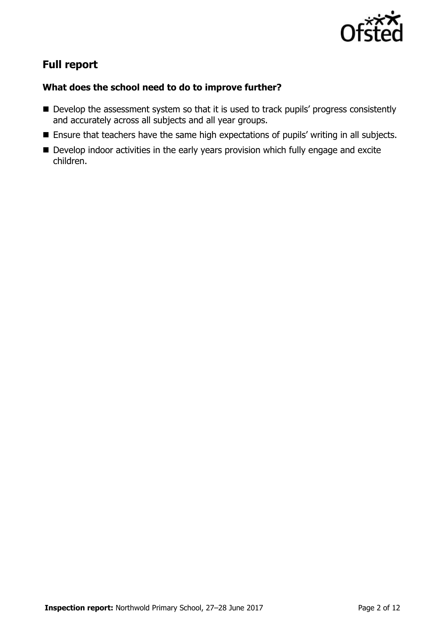

# **Full report**

### **What does the school need to do to improve further?**

- Develop the assessment system so that it is used to track pupils' progress consistently and accurately across all subjects and all year groups.
- **Ensure that teachers have the same high expectations of pupils' writing in all subjects.**
- Develop indoor activities in the early years provision which fully engage and excite children.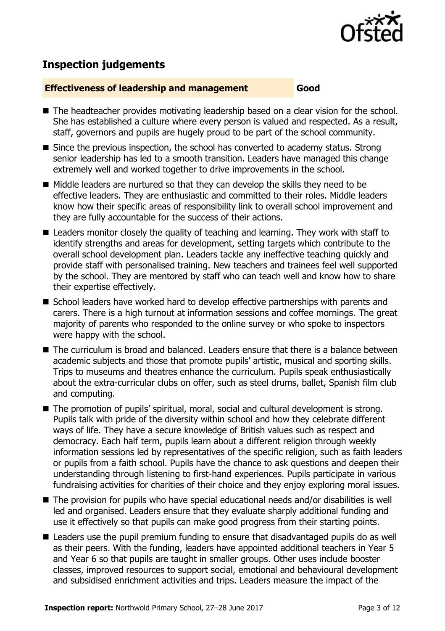

# **Inspection judgements**

#### **Effectiveness of leadership and management Good**

- The headteacher provides motivating leadership based on a clear vision for the school. She has established a culture where every person is valued and respected. As a result, staff, governors and pupils are hugely proud to be part of the school community.
- Since the previous inspection, the school has converted to academy status. Strong senior leadership has led to a smooth transition. Leaders have managed this change extremely well and worked together to drive improvements in the school.
- $\blacksquare$  Middle leaders are nurtured so that they can develop the skills they need to be effective leaders. They are enthusiastic and committed to their roles. Middle leaders know how their specific areas of responsibility link to overall school improvement and they are fully accountable for the success of their actions.
- Leaders monitor closely the quality of teaching and learning. They work with staff to identify strengths and areas for development, setting targets which contribute to the overall school development plan. Leaders tackle any ineffective teaching quickly and provide staff with personalised training. New teachers and trainees feel well supported by the school. They are mentored by staff who can teach well and know how to share their expertise effectively.
- School leaders have worked hard to develop effective partnerships with parents and carers. There is a high turnout at information sessions and coffee mornings. The great majority of parents who responded to the online survey or who spoke to inspectors were happy with the school.
- The curriculum is broad and balanced. Leaders ensure that there is a balance between academic subjects and those that promote pupils' artistic, musical and sporting skills. Trips to museums and theatres enhance the curriculum. Pupils speak enthusiastically about the extra-curricular clubs on offer, such as steel drums, ballet, Spanish film club and computing.
- The promotion of pupils' spiritual, moral, social and cultural development is strong. Pupils talk with pride of the diversity within school and how they celebrate different ways of life. They have a secure knowledge of British values such as respect and democracy. Each half term, pupils learn about a different religion through weekly information sessions led by representatives of the specific religion, such as faith leaders or pupils from a faith school. Pupils have the chance to ask questions and deepen their understanding through listening to first-hand experiences. Pupils participate in various fundraising activities for charities of their choice and they enjoy exploring moral issues.
- The provision for pupils who have special educational needs and/or disabilities is well led and organised. Leaders ensure that they evaluate sharply additional funding and use it effectively so that pupils can make good progress from their starting points.
- Leaders use the pupil premium funding to ensure that disadvantaged pupils do as well as their peers. With the funding, leaders have appointed additional teachers in Year 5 and Year 6 so that pupils are taught in smaller groups. Other uses include booster classes, improved resources to support social, emotional and behavioural development and subsidised enrichment activities and trips. Leaders measure the impact of the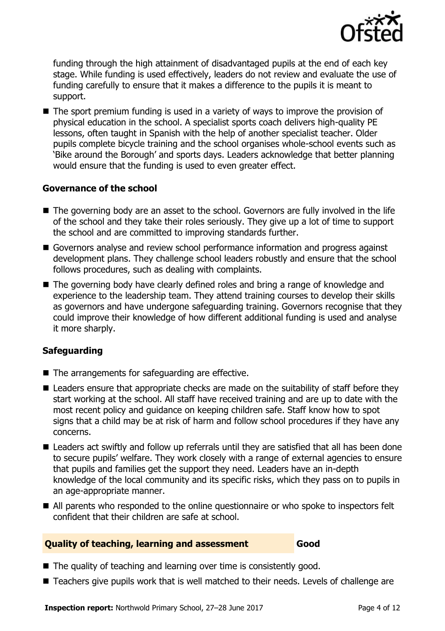

funding through the high attainment of disadvantaged pupils at the end of each key stage. While funding is used effectively, leaders do not review and evaluate the use of funding carefully to ensure that it makes a difference to the pupils it is meant to support.

 $\blacksquare$  The sport premium funding is used in a variety of ways to improve the provision of physical education in the school. A specialist sports coach delivers high-quality PE lessons, often taught in Spanish with the help of another specialist teacher. Older pupils complete bicycle training and the school organises whole-school events such as 'Bike around the Borough' and sports days. Leaders acknowledge that better planning would ensure that the funding is used to even greater effect.

#### **Governance of the school**

- The governing body are an asset to the school. Governors are fully involved in the life of the school and they take their roles seriously. They give up a lot of time to support the school and are committed to improving standards further.
- Governors analyse and review school performance information and progress against development plans. They challenge school leaders robustly and ensure that the school follows procedures, such as dealing with complaints.
- The governing body have clearly defined roles and bring a range of knowledge and experience to the leadership team. They attend training courses to develop their skills as governors and have undergone safeguarding training. Governors recognise that they could improve their knowledge of how different additional funding is used and analyse it more sharply.

### **Safeguarding**

- $\blacksquare$  The arrangements for safeguarding are effective.
- Leaders ensure that appropriate checks are made on the suitability of staff before they start working at the school. All staff have received training and are up to date with the most recent policy and guidance on keeping children safe. Staff know how to spot signs that a child may be at risk of harm and follow school procedures if they have any concerns.
- Leaders act swiftly and follow up referrals until they are satisfied that all has been done to secure pupils' welfare. They work closely with a range of external agencies to ensure that pupils and families get the support they need. Leaders have an in-depth knowledge of the local community and its specific risks, which they pass on to pupils in an age-appropriate manner.
- All parents who responded to the online questionnaire or who spoke to inspectors felt confident that their children are safe at school.

#### **Quality of teaching, learning and assessment Good**

- The quality of teaching and learning over time is consistently good.
- Teachers give pupils work that is well matched to their needs. Levels of challenge are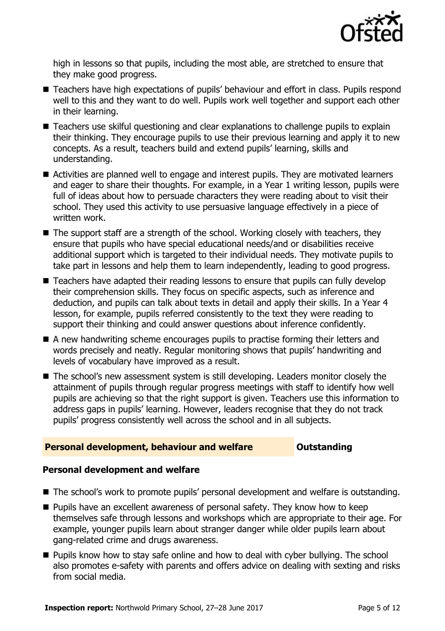

high in lessons so that pupils, including the most able, are stretched to ensure that they make good progress.

- Teachers have high expectations of pupils' behaviour and effort in class. Pupils respond well to this and they want to do well. Pupils work well together and support each other in their learning.
- Teachers use skilful questioning and clear explanations to challenge pupils to explain their thinking. They encourage pupils to use their previous learning and apply it to new concepts. As a result, teachers build and extend pupils' learning, skills and understanding.
- Activities are planned well to engage and interest pupils. They are motivated learners and eager to share their thoughts. For example, in a Year 1 writing lesson, pupils were full of ideas about how to persuade characters they were reading about to visit their school. They used this activity to use persuasive language effectively in a piece of written work.
- $\blacksquare$  The support staff are a strength of the school. Working closely with teachers, they ensure that pupils who have special educational needs/and or disabilities receive additional support which is targeted to their individual needs. They motivate pupils to take part in lessons and help them to learn independently, leading to good progress.
- Teachers have adapted their reading lessons to ensure that pupils can fully develop their comprehension skills. They focus on specific aspects, such as inference and deduction, and pupils can talk about texts in detail and apply their skills. In a Year 4 lesson, for example, pupils referred consistently to the text they were reading to support their thinking and could answer questions about inference confidently.
- A new handwriting scheme encourages pupils to practise forming their letters and words precisely and neatly. Regular monitoring shows that pupils' handwriting and levels of vocabulary have improved as a result.
- The school's new assessment system is still developing. Leaders monitor closely the attainment of pupils through regular progress meetings with staff to identify how well pupils are achieving so that the right support is given. Teachers use this information to address gaps in pupils' learning. However, leaders recognise that they do not track pupils' progress consistently well across the school and in all subjects.

### **Personal development, behaviour and welfare <b>COUTS** Outstanding

### **Personal development and welfare**

- The school's work to promote pupils' personal development and welfare is outstanding.
- **Pupils have an excellent awareness of personal safety. They know how to keep** themselves safe through lessons and workshops which are appropriate to their age. For example, younger pupils learn about stranger danger while older pupils learn about gang-related crime and drugs awareness.
- **Pupils know how to stay safe online and how to deal with cyber bullying. The school** also promotes e-safety with parents and offers advice on dealing with sexting and risks from social media.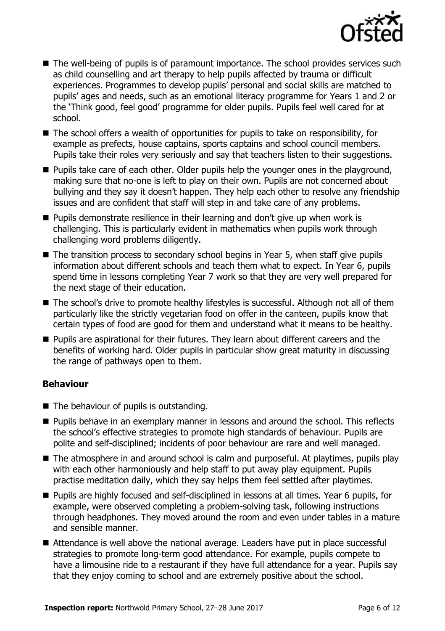

- The well-being of pupils is of paramount importance. The school provides services such as child counselling and art therapy to help pupils affected by trauma or difficult experiences. Programmes to develop pupils' personal and social skills are matched to pupils' ages and needs, such as an emotional literacy programme for Years 1 and 2 or the 'Think good, feel good' programme for older pupils. Pupils feel well cared for at school.
- The school offers a wealth of opportunities for pupils to take on responsibility, for example as prefects, house captains, sports captains and school council members. Pupils take their roles very seriously and say that teachers listen to their suggestions.
- **Pupils take care of each other. Older pupils help the younger ones in the playground,** making sure that no-one is left to play on their own. Pupils are not concerned about bullying and they say it doesn't happen. They help each other to resolve any friendship issues and are confident that staff will step in and take care of any problems.
- $\blacksquare$  Pupils demonstrate resilience in their learning and don't give up when work is challenging. This is particularly evident in mathematics when pupils work through challenging word problems diligently.
- The transition process to secondary school begins in Year 5, when staff give pupils information about different schools and teach them what to expect. In Year 6, pupils spend time in lessons completing Year 7 work so that they are very well prepared for the next stage of their education.
- The school's drive to promote healthy lifestyles is successful. Although not all of them particularly like the strictly vegetarian food on offer in the canteen, pupils know that certain types of food are good for them and understand what it means to be healthy.
- **Pupils are aspirational for their futures. They learn about different careers and the** benefits of working hard. Older pupils in particular show great maturity in discussing the range of pathways open to them.

### **Behaviour**

- The behaviour of pupils is outstanding.
- **Pupils behave in an exemplary manner in lessons and around the school. This reflects** the school's effective strategies to promote high standards of behaviour. Pupils are polite and self-disciplined; incidents of poor behaviour are rare and well managed.
- The atmosphere in and around school is calm and purposeful. At playtimes, pupils play with each other harmoniously and help staff to put away play equipment. Pupils practise meditation daily, which they say helps them feel settled after playtimes.
- Pupils are highly focused and self-disciplined in lessons at all times. Year 6 pupils, for example, were observed completing a problem-solving task, following instructions through headphones. They moved around the room and even under tables in a mature and sensible manner.
- Attendance is well above the national average. Leaders have put in place successful strategies to promote long-term good attendance. For example, pupils compete to have a limousine ride to a restaurant if they have full attendance for a year. Pupils say that they enjoy coming to school and are extremely positive about the school.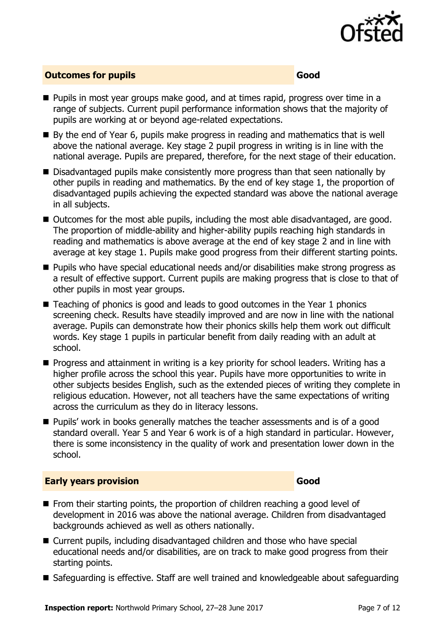

#### **Outcomes for pupils Good Good**

- **Pupils in most year groups make good, and at times rapid, progress over time in a** range of subjects. Current pupil performance information shows that the majority of pupils are working at or beyond age-related expectations.
- By the end of Year 6, pupils make progress in reading and mathematics that is well above the national average. Key stage 2 pupil progress in writing is in line with the national average. Pupils are prepared, therefore, for the next stage of their education.
- Disadvantaged pupils make consistently more progress than that seen nationally by other pupils in reading and mathematics. By the end of key stage 1, the proportion of disadvantaged pupils achieving the expected standard was above the national average in all subjects.
- Outcomes for the most able pupils, including the most able disadvantaged, are good. The proportion of middle-ability and higher-ability pupils reaching high standards in reading and mathematics is above average at the end of key stage 2 and in line with average at key stage 1. Pupils make good progress from their different starting points.
- Pupils who have special educational needs and/or disabilities make strong progress as a result of effective support. Current pupils are making progress that is close to that of other pupils in most year groups.
- Teaching of phonics is good and leads to good outcomes in the Year 1 phonics screening check. Results have steadily improved and are now in line with the national average. Pupils can demonstrate how their phonics skills help them work out difficult words. Key stage 1 pupils in particular benefit from daily reading with an adult at school.
- **Progress and attainment in writing is a key priority for school leaders. Writing has a** higher profile across the school this year. Pupils have more opportunities to write in other subjects besides English, such as the extended pieces of writing they complete in religious education. However, not all teachers have the same expectations of writing across the curriculum as they do in literacy lessons.
- **Pupils'** work in books generally matches the teacher assessments and is of a good standard overall. Year 5 and Year 6 work is of a high standard in particular. However, there is some inconsistency in the quality of work and presentation lower down in the school.

#### **Early years provision Good**

- **From their starting points, the proportion of children reaching a good level of** development in 2016 was above the national average. Children from disadvantaged backgrounds achieved as well as others nationally.
- Current pupils, including disadvantaged children and those who have special educational needs and/or disabilities, are on track to make good progress from their starting points.
- Safeguarding is effective. Staff are well trained and knowledgeable about safeguarding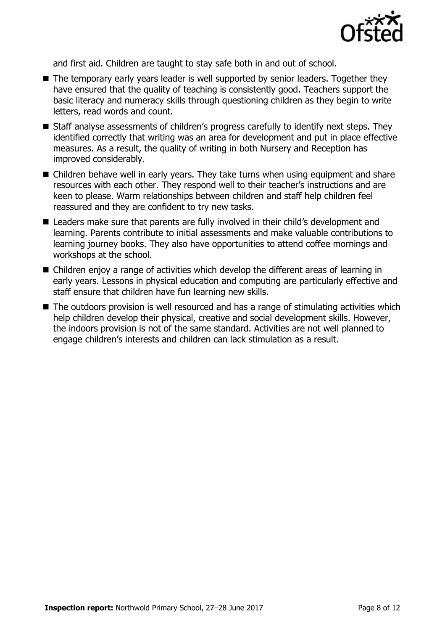

and first aid. Children are taught to stay safe both in and out of school.

- The temporary early years leader is well supported by senior leaders. Together they have ensured that the quality of teaching is consistently good. Teachers support the basic literacy and numeracy skills through questioning children as they begin to write letters, read words and count.
- Staff analyse assessments of children's progress carefully to identify next steps. They identified correctly that writing was an area for development and put in place effective measures. As a result, the quality of writing in both Nursery and Reception has improved considerably.
- Children behave well in early years. They take turns when using equipment and share resources with each other. They respond well to their teacher's instructions and are keen to please. Warm relationships between children and staff help children feel reassured and they are confident to try new tasks.
- Leaders make sure that parents are fully involved in their child's development and learning. Parents contribute to initial assessments and make valuable contributions to learning journey books. They also have opportunities to attend coffee mornings and workshops at the school.
- Children enjoy a range of activities which develop the different areas of learning in early years. Lessons in physical education and computing are particularly effective and staff ensure that children have fun learning new skills.
- The outdoors provision is well resourced and has a range of stimulating activities which help children develop their physical, creative and social development skills. However, the indoors provision is not of the same standard. Activities are not well planned to engage children's interests and children can lack stimulation as a result.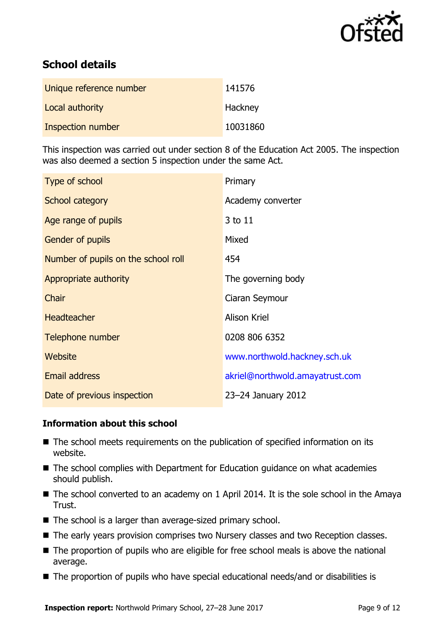

# **School details**

| Unique reference number | 141576   |
|-------------------------|----------|
| Local authority         | Hackney  |
| Inspection number       | 10031860 |

This inspection was carried out under section 8 of the Education Act 2005. The inspection was also deemed a section 5 inspection under the same Act.

| Type of school                      | Primary                         |
|-------------------------------------|---------------------------------|
| School category                     | Academy converter               |
| Age range of pupils                 | 3 to 11                         |
| <b>Gender of pupils</b>             | Mixed                           |
| Number of pupils on the school roll | 454                             |
| Appropriate authority               | The governing body              |
| Chair                               | Ciaran Seymour                  |
| <b>Headteacher</b>                  | <b>Alison Kriel</b>             |
| Telephone number                    | 0208 806 6352                   |
| Website                             | www.northwold.hackney.sch.uk    |
| <b>Email address</b>                | akriel@northwold.amayatrust.com |
| Date of previous inspection         | 23-24 January 2012              |

### **Information about this school**

- The school meets requirements on the publication of specified information on its website.
- The school complies with Department for Education guidance on what academies should publish.
- $\blacksquare$  The school converted to an academy on 1 April 2014. It is the sole school in the Amaya Trust.
- The school is a larger than average-sized primary school.
- The early years provision comprises two Nursery classes and two Reception classes.
- The proportion of pupils who are eligible for free school meals is above the national average.
- The proportion of pupils who have special educational needs/and or disabilities is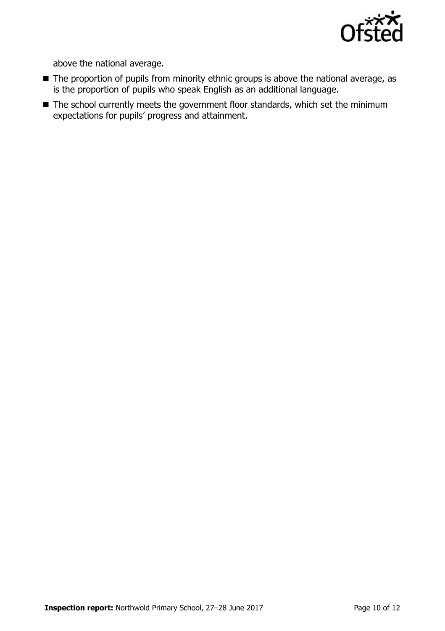

above the national average.

- The proportion of pupils from minority ethnic groups is above the national average, as is the proportion of pupils who speak English as an additional language.
- The school currently meets the government floor standards, which set the minimum expectations for pupils' progress and attainment.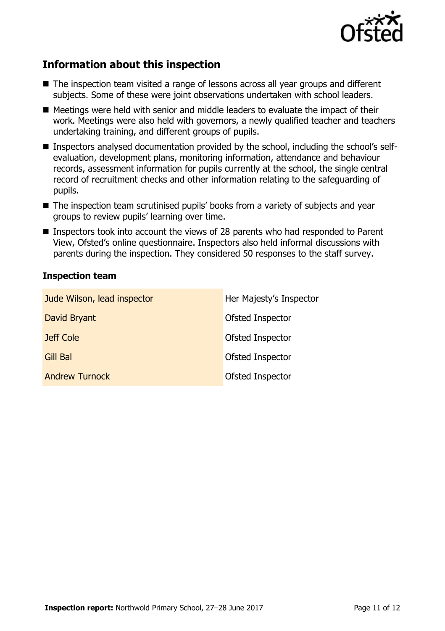

## **Information about this inspection**

- The inspection team visited a range of lessons across all year groups and different subjects. Some of these were joint observations undertaken with school leaders.
- Meetings were held with senior and middle leaders to evaluate the impact of their work. Meetings were also held with governors, a newly qualified teacher and teachers undertaking training, and different groups of pupils.
- Inspectors analysed documentation provided by the school, including the school's selfevaluation, development plans, monitoring information, attendance and behaviour records, assessment information for pupils currently at the school, the single central record of recruitment checks and other information relating to the safeguarding of pupils.
- The inspection team scrutinised pupils' books from a variety of subjects and year groups to review pupils' learning over time.
- Inspectors took into account the views of 28 parents who had responded to Parent View, Ofsted's online questionnaire. Inspectors also held informal discussions with parents during the inspection. They considered 50 responses to the staff survey.

#### **Inspection team**

| Jude Wilson, lead inspector | Her Majesty's Inspector |
|-----------------------------|-------------------------|
| David Bryant                | Ofsted Inspector        |
| Jeff Cole                   | Ofsted Inspector        |
| Gill Bal                    | Ofsted Inspector        |
| <b>Andrew Turnock</b>       | Ofsted Inspector        |